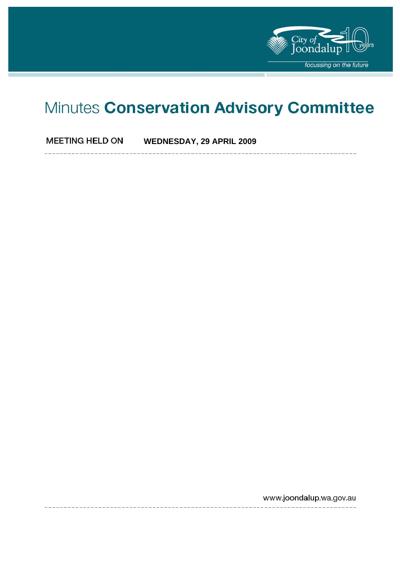

# Minutes Conservation Advisory Committee

**MEETING HELD ON WEDNESDAY, 29 APRIL 2009** 

www.joondalup.wa.gov.au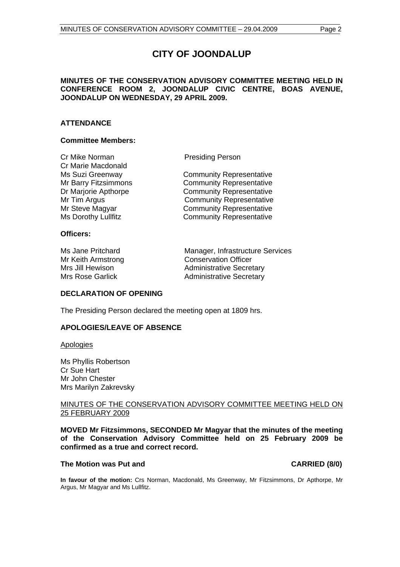# **CITY OF JOONDALUP**

#### **MINUTES OF THE CONSERVATION ADVISORY COMMITTEE MEETING HELD IN CONFERENCE ROOM 2, JOONDALUP CIVIC CENTRE, BOAS AVENUE, JOONDALUP ON WEDNESDAY, 29 APRIL 2009.**

#### **ATTENDANCE**

#### **Committee Members:**

Cr Mike Norman Presiding Person Cr Marie Macdonald

Ms Suzi Greenway Community Representative Mr Barry Fitzsimmons Community Representative Dr Marjorie Apthorpe **Community Representative** Mr Tim Argus **Community Representative** Mr Steve Magyar **Community Representative** Ms Dorothy Lullfitz **Community Representative** 

#### **Officers:**

Ms Jane Pritchard Manager, Infrastructure Services Mr Keith Armstrong Conservation Officer Mrs Jill Hewison **Administrative Secretary** Mrs Rose Garlick **Administrative Secretary** 

#### **DECLARATION OF OPENING**

The Presiding Person declared the meeting open at 1809 hrs.

### **APOLOGIES/LEAVE OF ABSENCE**

Apologies

Ms Phyllis Robertson Cr Sue Hart Mr John Chester Mrs Marilyn Zakrevsky

#### MINUTES OF THE CONSERVATION ADVISORY COMMITTEE MEETING HELD ON 25 FEBRUARY 2009

**MOVED Mr Fitzsimmons, SECONDED Mr Magyar that the minutes of the meeting of the Conservation Advisory Committee held on 25 February 2009 be confirmed as a true and correct record.** 

#### The Motion was Put and **CARRIED** (8/0)

**In favour of the motion:** Crs Norman, Macdonald, Ms Greenway, Mr Fitzsimmons, Dr Apthorpe, Mr Argus, Mr Magyar and Ms Lullfitz.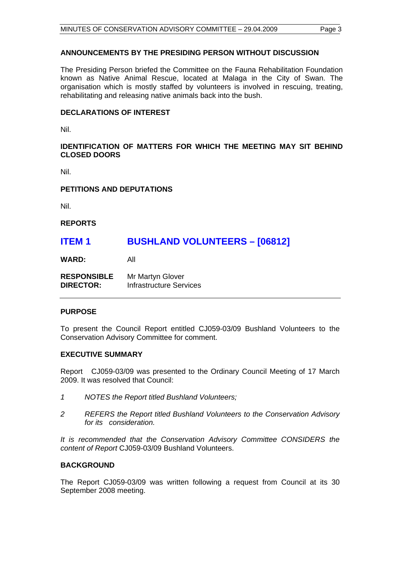#### **ANNOUNCEMENTS BY THE PRESIDING PERSON WITHOUT DISCUSSION**

The Presiding Person briefed the Committee on the Fauna Rehabilitation Foundation known as Native Animal Rescue, located at Malaga in the City of Swan. The organisation which is mostly staffed by volunteers is involved in rescuing, treating, rehabilitating and releasing native animals back into the bush.

#### **DECLARATIONS OF INTEREST**

Nil.

#### **IDENTIFICATION OF MATTERS FOR WHICH THE MEETING MAY SIT BEHIND CLOSED DOORS**

Nil.

#### **PETITIONS AND DEPUTATIONS**

Nil.

**REPORTS** 

## **ITEM 1 BUSHLAND VOLUNTEERS – [06812]**

**WARD:** All

| <b>RESPONSIBLE</b> | Mr Martyn Glover        |
|--------------------|-------------------------|
| <b>DIRECTOR:</b>   | Infrastructure Services |

#### **PURPOSE**

To present the Council Report entitled CJ059-03/09 Bushland Volunteers to the Conservation Advisory Committee for comment.

#### **EXECUTIVE SUMMARY**

Report CJ059-03/09 was presented to the Ordinary Council Meeting of 17 March 2009. It was resolved that Council:

- *1 NOTES the Report titled Bushland Volunteers;*
- *2 REFERS the Report titled Bushland Volunteers to the Conservation Advisory for its consideration.*

*It is recommended that the Conservation Advisory Committee CONSIDERS the content of Report* CJ059-03/09 Bushland Volunteers.

#### **BACKGROUND**

The Report CJ059-03/09 was written following a request from Council at its 30 September 2008 meeting.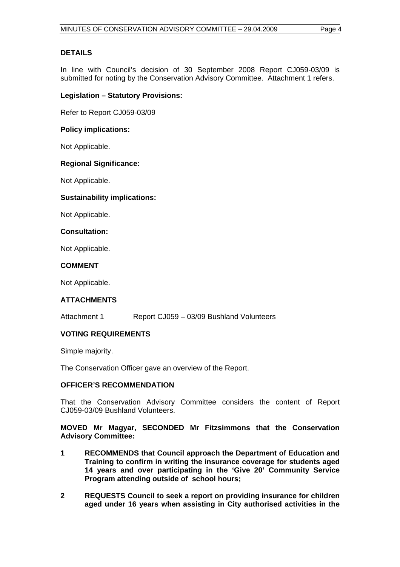#### **DETAILS**

In line with Council's decision of 30 September 2008 Report CJ059-03/09 is submitted for noting by the Conservation Advisory Committee. Attachment 1 refers.

#### **Legislation – Statutory Provisions:**

Refer to Report CJ059-03/09

#### **Policy implications:**

Not Applicable.

#### **Regional Significance:**

Not Applicable.

#### **Sustainability implications:**

Not Applicable.

#### **Consultation:**

Not Applicable.

#### **COMMENT**

Not Applicable.

### **ATTACHMENTS**

Attachment 1 Report CJ059 – 03/09 Bushland Volunteers

### **VOTING REQUIREMENTS**

Simple majority.

The Conservation Officer gave an overview of the Report.

#### **OFFICER'S RECOMMENDATION**

That the Conservation Advisory Committee considers the content of Report CJ059-03/09 Bushland Volunteers.

**MOVED Mr Magyar, SECONDED Mr Fitzsimmons that the Conservation Advisory Committee:** 

- **1 RECOMMENDS that Council approach the Department of Education and Training to confirm in writing the insurance coverage for students aged 14 years and over participating in the 'Give 20' Community Service Program attending outside of school hours;**
- **2 REQUESTS Council to seek a report on providing insurance for children aged under 16 years when assisting in City authorised activities in the**